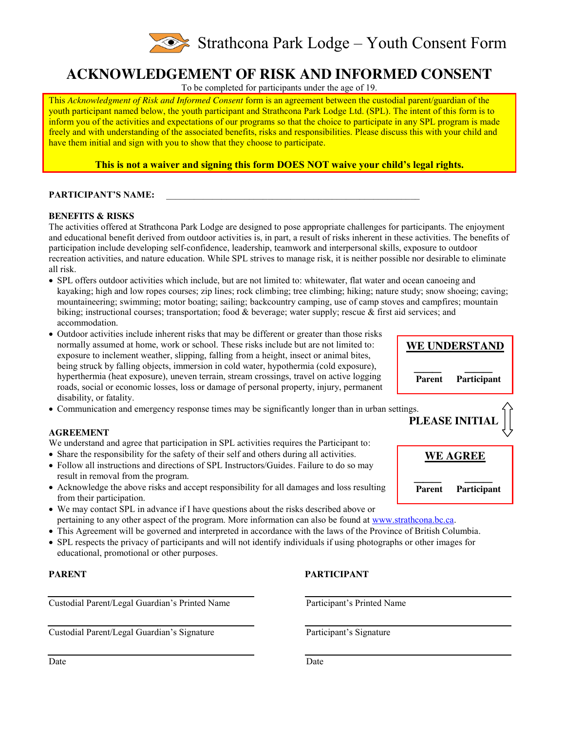

# **ACKNOWLEDGEMENT OF RISK AND INFORMED CONSENT**

To be completed for participants under the age of 19.

This *Acknowledgment of Risk and Informed Consent* form is an agreement between the custodial parent/guardian of the youth participant named below, the youth participant and Strathcona Park Lodge Ltd. (SPL). The intent of this form is to inform you of the activities and expectations of our programs so that the choice to participate in any SPL program is made freely and with understanding of the associated benefits, risks and responsibilities. Please discuss this with your child and have them initial and sign with you to show that they choose to participate.

**This is not a waiver and signing this form DOES NOT waive your child's legal rights.**

## PARTICIPANT'S NAME:

### **BENEFITS & RISKS**

The activities offered at Strathcona Park Lodge are designed to pose appropriate challenges for participants. The enjoyment and educational benefit derived from outdoor activities is, in part, a result of risks inherent in these activities. The benefits of participation include developing self-confidence, leadership, teamwork and interpersonal skills, exposure to outdoor recreation activities, and nature education. While SPL strives to manage risk, it is neither possible nor desirable to eliminate all risk.

- x SPL offers outdoor activities which include, but are not limited to: whitewater, flat water and ocean canoeing and kayaking; high and low ropes courses; zip lines; rock climbing; tree climbing; hiking; nature study; snow shoeing; caving; mountaineering; swimming; motor boating; sailing; backcountry camping, use of camp stoves and campfires; mountain biking; instructional courses; transportation; food & beverage; water supply; rescue & first aid services; and accommodation.
- Outdoor activities include inherent risks that may be different or greater than those risks normally assumed at home, work or school. These risks include but are not limited to: exposure to inclement weather, slipping, falling from a height, insect or animal bites, being struck by falling objects, immersion in cold water, hypothermia (cold exposure), hyperthermia (heat exposure), uneven terrain, stream crossings, travel on active logging roads, social or economic losses, loss or damage of personal property, injury, permanent disability, or fatality.
- Communication and emergency response times may be significantly longer than in urban settings.

### **AGREEMENT**

We understand and agree that participation in SPL activities requires the Participant to:

- Share the responsibility for the safety of their self and others during all activities.
- Follow all instructions and directions of SPL Instructors/Guides. Failure to do so may result in removal from the program.
- Acknowledge the above risks and accept responsibility for all damages and loss resulting from their participation.
- We may contact SPL in advance if I have questions about the risks described above or pertaining to any other aspect of the program. More information can also be found at www.strathcona.bc.ca.
- This Agreement will be governed and interpreted in accordance with the laws of the Province of British Columbia.
- SPL respects the privacy of participants and will not identify individuals if using photographs or other images for educational, promotional or other purposes.

Custodial Parent/Legal Guardian's Printed Name

Custodial Parent/Legal Guardian's Signature

### **PARENT PARTICIPANT**

Participant's Printed Name

Participant's Signature

Date



**WE UNDERSTAND**